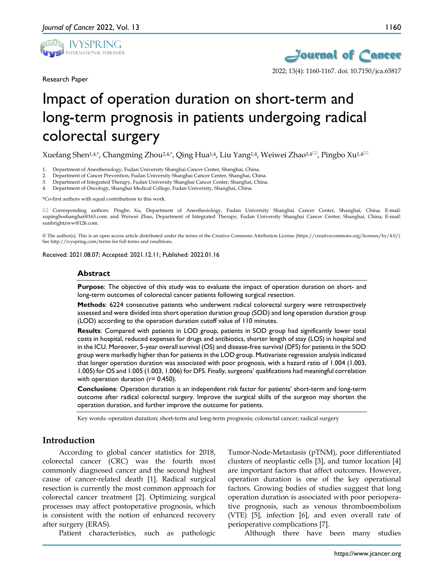

Research Paper



2022; 13(4): 1160-1167. doi: 10.7150/jca.65817

# Impact of operation duration on short-term and long-term prognosis in patients undergoing radical colorectal surgery

Xuefang Shen<sup>1,4,\*</sup>, Changming Zhou<sup>2,4,\*</sup>, Qing Hua<sup>1,4</sup>, Liu Yang<sup>1,4</sup>, Weiwei Zhao<sup>3,4 $\approx$ </sup>, Pingbo Xu<sup>1,4 $\approx$ </sup>

1. Department of Anesthesiology, Fudan University Shanghai Cancer Center, Shanghai, China.

- 2. Department of Cancer Prevention, Fudan University Shanghai Cancer Center, Shanghai, China.
- 3. Department of Integrated Therapy, Fudan University Shanghai Cancer Center, Shanghai, China.
- 4. Department of Oncology, Shanghai Medical College, Fudan University, Shanghai, China.

\*Co-first authors with equal contributions to this work.

 Corresponding authors: Pingbo Xu, Department of Anesthesiology, Fudan University Shanghai Cancer Center, Shanghai, China; E-mail: xupingboshanghai@163.com; and Weiwei Zhao, Department of Integrated Therapy, Fudan University Shanghai Cancer Center, Shanghai, China; E-mail: sunbrightzww@126.com.

© The author(s). This is an open access article distributed under the terms of the Creative Commons Attribution License (https://creativecommons.org/licenses/by/4.0/). See http://ivyspring.com/terms for full terms and conditions.

Received: 2021.08.07; Accepted: 2021.12.11; Published: 2022.01.16

#### **Abstract**

**Purpose**: The objective of this study was to evaluate the impact of operation duration on short- and long-term outcomes of colorectal cancer patients following surgical resection.

**Methods**: 6224 consecutive patients who underwent radical colorectal surgery were retrospectively assessed and were divided into short operation duration group (SOD) and long operation duration group (LOD) according to the operation duration cutoff value of 110 minutes.

**Results**: Compared with patients in LOD group, patients in SOD group had significantly lower total costs in hospital, reduced expenses for drugs and antibiotics, shorter length of stay (LOS) in hospital and in the ICU. Moreover, 5-year overall survival (OS) and disease-free survival (DFS) for patients in the SOD group were markedly higher than for patients in the LOD group. Mutivariate regression analysis indicated that longer operation duration was associated with poor prognosis, with a hazard ratio of 1.004 (1.003, 1.005) for OS and 1.005 (1.003, 1.006) for DFS. Finally, surgeons' qualifications had meaningful correlation with operation duration (r= 0.450).

**Conclusions**: Operation duration is an independent risk factor for patients' short-term and long-term outcome after radical colorectal surgery. Improve the surgical skills of the surgeon may shorten the operation duration, and further improve the outcome for patients.

Key words: operation duration; short-term and long-term prognosis; colorectal cancer; radical surgery

## **Introduction**

According to global cancer statistics for 2018, colorectal cancer (CRC) was the fourth most commonly diagnosed cancer and the second highest cause of cancer-related death [1]. Radical surgical resection is currently the most common approach for colorectal cancer treatment [2]. Optimizing surgical processes may affect postoperative prognosis, which is consistent with the notion of enhanced recovery after surgery (ERAS).

Patient characteristics, such as pathologic

Tumor-Node-Metastasis (pTNM), poor differentiated clusters of neoplastic cells [3], and tumor location [4] are important factors that affect outcomes. However, operation duration is one of the key operational factors. Growing bodies of studies suggest that long operation duration is associated with poor perioperative prognosis, such as venous thromboembolism (VTE) [5], infection [6], and even overall rate of perioperative complications [7].

Although there have been many studies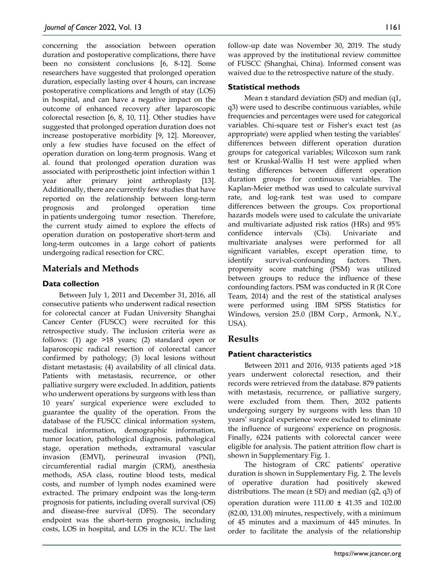concerning the association between operation duration and postoperative complications, there have been no consistent conclusions [6, 8-12]. Some researchers have suggested that prolonged operation duration, especially lasting over 4 hours, can increase postoperative complications and length of stay (LOS) in hospital, and can have a negative impact on the outcome of enhanced recovery after laparoscopic colorectal resection [6, 8, 10, 11]. Other studies have suggested that prolonged operation duration does not increase postoperative morbidity [9, 12]. Moreover, only a few studies have focused on the effect of operation duration on long-term prognosis. Wang et al. found that prolonged operation duration was associated with periprosthetic joint infection within 1 year after primary joint arthroplasty [13]. Additionally, there are currently few studies that have reported on the relationship between long-term prognosis and prolonged operation time in patients undergoing tumor resection. Therefore, the current study aimed to explore the effects of operation duration on postoperative short-term and long-term outcomes in a large cohort of patients undergoing radical resection for CRC.

# **Materials and Methods**

## **Data collection**

Between July 1, 2011 and December 31, 2016, all consecutive patients who underwent radical resection for colorectal cancer at Fudan University Shanghai Cancer Center (FUSCC) were recruited for this retrospective study. The inclusion criteria were as follows: (1) age >18 years; (2) standard open or laparoscopic radical resection of colorectal cancer confirmed by pathology; (3) local lesions without distant metastasis; (4) availability of all clinical data. Patients with metastasis, recurrence, or other palliative surgery were excluded. In addition, patients who underwent operations by surgeons with less than 10 years' surgical experience were excluded to guarantee the quality of the operation. From the database of the FUSCC clinical information system, medical information, demographic information, tumor location, pathological diagnosis, pathological stage, operation methods, extramural vascular invasion (EMVI), perineural invasion (PNI), circumferential radial margin (CRM), anesthesia methods, ASA class, routine blood tests, medical costs, and number of lymph nodes examined were extracted. The primary endpoint was the long-term prognosis for patients, including overall survival (OS) and disease-free survival (DFS). The secondary endpoint was the short-term prognosis, including costs, LOS in hospital, and LOS in the ICU. The last

follow-up date was November 30, 2019. The study was approved by the institutional review committee of FUSCC (Shanghai, China). Informed consent was waived due to the retrospective nature of the study.

## **Statistical methods**

Mean ± standard deviation (SD) and median (q1, q3) were used to describe continuous variables, while frequencies and percentages were used for categorical variables. Chi-square test or Fisher's exact test (as appropriate) were applied when testing the variables' differences between different operation duration groups for categorical variables; Wilcoxon sum rank test or Kruskal-Wallis H test were applied when testing differences between different operation duration groups for continuous variables. The Kaplan-Meier method was used to calculate survival rate, and log-rank test was used to compare differences between the groups. Cox proportional hazards models were used to calculate the univariate and multivariate adjusted risk ratios (HRs) and 95% confidence intervals (CIs). Univariate and multivariate analyses were performed for all significant variables, except operation time, to identify survival-confounding factors. Then, propensity score matching (PSM) was utilized between groups to reduce the influence of these confounding factors. PSM was conducted in R (R Core Team, 2014) and the rest of the statistical analyses were performed using IBM SPSS Statistics for Windows, version 25.0 (IBM Corp., Armonk, N.Y., USA).

# **Results**

# **Patient characteristics**

Between 2011 and 2016, 9135 patients aged >18 years underwent colorectal resection, and their records were retrieved from the database. 879 patients with metastasis, recurrence, or palliative surgery, were excluded from them. Then, 2032 patients undergoing surgery by surgeons with less than 10 years' surgical experience were excluded to eliminate the influence of surgeons' experience on prognosis. Finally, 6224 patients with colorectal cancer were eligible for analysis. The patient attrition flow chart is shown in Supplementary Fig. 1.

The histogram of CRC patients' operative duration is shown in Supplementary Fig. 2. The levels of operative duration had positively skewed distributions. The mean  $(\pm SD)$  and median  $(q2, q3)$  of operation duration were  $111.00 \pm 41.35$  and  $102.00$ (82.00, 131.00) minutes, respectively, with a minimum of 45 minutes and a maximum of 445 minutes. In order to facilitate the analysis of the relationship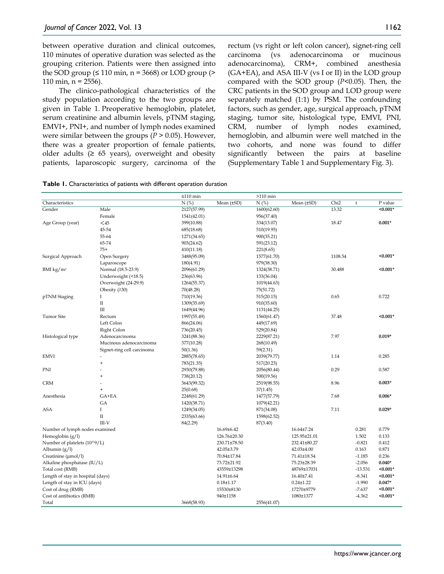between operative duration and clinical outcomes, 110 minutes of operative duration was selected as the grouping criterion. Patients were then assigned into the SOD group  $(≤ 110$  min, n = 3668) or LOD group  $(>$ 110 min,  $n = 2556$ ).

The clinico-pathological characteristics of the study population according to the two groups are given in Table 1. Preoperative hemoglobin, platelet, serum creatinine and albumin levels, pTNM staging, EMVI+, PNI+, and number of lymph nodes examined were similar between the groups (*P* > 0.05). However, there was a greater proportion of female patients, older adults  $(≥ 65 years)$ , overweight and obesity patients, laparoscopic surgery, carcinoma of the rectum (vs right or left colon cancer), signet-ring cell carcinoma (vs adenocarcinoma or mucinous adenocarcinoma), CRM+, combined anesthesia (GA+EA), and ASA III-V (vs I or II) in the LOD group compared with the SOD group (*P*<0.05). Then, the CRC patients in the SOD group and LOD group were separately matched (1:1) by PSM. The confounding factors, such as gender, age, surgical approach, pTNM staging, tumor site, histological type, EMVI, PNI, CRM, number of lymph nodes examined, hemoglobin, and albumin were well matched in the two cohorts, and none was found to differ significantly between the pairs at baseline (Supplementary Table 1 and Supplementary Fig. 3).

|                                   |                            | $≤110$ min  |                 | $>110$ min  |                 |                  |           |            |
|-----------------------------------|----------------------------|-------------|-----------------|-------------|-----------------|------------------|-----------|------------|
| Characteristics                   |                            | N(%)        | Mean $(\pm SD)$ | N(%)        | Mean $(\pm SD)$ | Chi <sub>2</sub> | t         | P value    |
| Gender                            | Male                       | 2127(57.99) |                 | 1600(62.60) |                 | 13.32            |           | $< 0.001*$ |
|                                   | Female                     | 1541(42.01) |                 | 956(37.40)  |                 |                  |           |            |
| Age Group (year)                  | $45$                       | 399(10.88)  |                 | 334(13.07)  |                 | 18.47            |           | $0.001*$   |
|                                   | 45-54                      | 685(18.68)  |                 | 510(19.95)  |                 |                  |           |            |
|                                   | 55-64                      | 1271(34.65) |                 | 900(35.21)  |                 |                  |           |            |
|                                   | 65-74                      | 903(24.62)  |                 | 591(23.12)  |                 |                  |           |            |
|                                   | $75+$                      | 410(11.18)  |                 | 221(8.65)   |                 |                  |           |            |
| Surgical Approach                 | Open Surgery               | 3488(95.09) |                 | 1577(61.70) |                 | 1108.54          |           | $< 0.001*$ |
|                                   | Laparoscope                | 180(4.91)   |                 | 979(38.30)  |                 |                  |           |            |
| BMI $\text{kg}/\text{m}^2$        | Normal (18.5-23.9)         | 2096(61.29) |                 | 1324(38.71) |                 | 30.488           |           | $< 0.001*$ |
|                                   | Underweight (<18.5)        | 236(63.96)  |                 | 133(36.04)  |                 |                  |           |            |
|                                   | Overweight (24-29.9)       | 1264(55.37) |                 | 1019(44.63) |                 |                  |           |            |
|                                   | Obesity $(230)$            | 70(48.28)   |                 | 75(51.72)   |                 |                  |           |            |
| pTNM Staging                      | Ι.                         | 710(19.36)  |                 | 515(20.15)  |                 | 0.65             |           | 0.722      |
|                                   | $\;$ II                    | 1309(35.69) |                 | 910(35.60)  |                 |                  |           |            |
|                                   | Ш                          | 1649(44.96) |                 | 1131(44.25) |                 |                  |           |            |
| <b>Tumor Site</b>                 | Rectum                     | 1997(55.49) |                 | 1560(61.47) |                 | 37.48            |           | $< 0.001*$ |
|                                   | Left Colon                 | 866(24.06)  |                 | 449(17.69)  |                 |                  |           |            |
|                                   | Right Colon                | 736(20.45)  |                 | 529(20.84)  |                 |                  |           |            |
| Histological type                 | Adenocarcinoma             | 3241(88.36) |                 | 2229(87.21) |                 | 7.97             |           | $0.019*$   |
|                                   | Mucinous adenocarcinoma    | 377(10.28)  |                 | 268(10.49)  |                 |                  |           |            |
|                                   | Signet-ring cell carcinoma | 50(1.36)    |                 | 59(2.31)    |                 |                  |           |            |
| <b>EMVI</b>                       |                            | 2885(78.65) |                 | 2039(79.77) |                 | 1.14             |           | 0.285      |
|                                   | $\ddot{}$                  | 783(21.35)  |                 | 517(20.23)  |                 |                  |           |            |
| PNI                               |                            | 2930(79.88) |                 | 2056(80.44) |                 | 0.29             |           | 0.587      |
|                                   | $\ddot{}$                  | 738(20.12)  |                 | 500(19.56)  |                 |                  |           |            |
| <b>CRM</b>                        |                            | 3643(99.32) |                 | 2519(98.55) |                 | 8.96             |           | $0.003*$   |
|                                   | $\ddot{}$                  | 25(0.68)    |                 | 37(1.45)    |                 |                  |           |            |
| Anesthesia                        | GA+EA                      | 2248(61.29) |                 | 1477(57.79) |                 | 7.68             |           | $0.006*$   |
|                                   | GA                         | 1420(38.71) |                 | 1079(42.21) |                 |                  |           |            |
| <b>ASA</b>                        | $\bf{I}$                   | 1249(34.05) |                 | 871(34.08)  |                 | 7.11             |           | $0.029*$   |
|                                   | $\rm II$                   | 2335(63.66) |                 | 1598(62.52) |                 |                  |           |            |
|                                   | $III-V$                    | 84(2.29)    |                 | 87(3.40)    |                 |                  |           |            |
| Number of lymph nodes examined    |                            |             | 16.69±6.42      |             | 16.64±7.24      |                  | 0.281     | 0.779      |
| Hemoglobin $(g/l)$                |                            |             | 126.76±20.30    |             | 125.95±21.01    |                  | 1.502     | 0.133      |
| Number of platelets (10^9/L)      |                            |             | 230.71±78.50    |             | 232.41±80.27    |                  | $-0.821$  | 0.412      |
| Albumin $(g/l)$                   |                            |             | 42.05±3.79      |             | 42.03±4.00      |                  | 0.163     | 0.871      |
| Creatinine $(\mu mol/l)$          |                            |             | 70.84±17.84     |             | 71.41±18.54     |                  | $-1.185$  | 0.236      |
| Alkaline phosphatase (IU/L)       |                            |             | 73.72±21.92     |             | 75.23±28.39     |                  | $-2.056$  | $0.040*$   |
| Total cost (RMB)                  |                            |             | 43559±13298     |             | 48769±17031     |                  | $-13.531$ | $< 0.001*$ |
| Length of stay in hospital (days) |                            |             | 14.91±6.64      |             | 16.40±7.41      |                  | $-8.341$  | $< 0.001*$ |
| Length of stay in ICU (days)      |                            |             | $0.18 + 1.17$   |             | $0.24 \pm 1.22$ |                  | $-1.990$  | $0.047*$   |
| Cost of drug (RMB)                |                            |             | 15530±8130      |             | 17270±9779      |                  | $-7.637$  | $0.001*$   |
| Cost of antibiotics (RMB)         |                            |             | 940±1158        |             | 1080±1377       |                  | $-4.362$  | $< 0.001*$ |
| Total                             |                            | 3668(58.93) |                 | 2556(41.07) |                 |                  |           |            |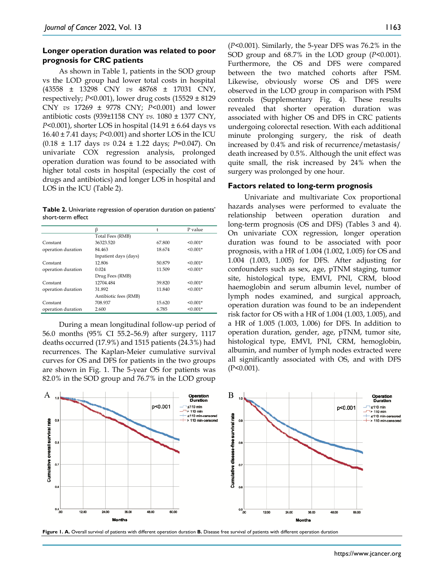### **Longer operation duration was related to poor prognosis for CRC patients**

As shown in Table 1, patients in the SOD group vs the LOD group had lower total costs in hospital (43558 ± 13298 CNY *vs* 48768 ± 17031 CNY, respectively; *P*<0.001), lower drug costs (15529 ± 8129 CNY *vs* 17269 ± 9778 CNY; *P*<0.001) and lower antibiotic costs (939±1158 CNY *vs.* 1080 ± 1377 CNY, *P*<0.001), shorter LOS in hospital (14.91 ± 6.64 days vs 16.40 ± 7.41 days; *P*<0.001) and shorter LOS in the ICU (0.18 ± 1.17 days *vs* 0.24 ± 1.22 days; *P*=0.047). On univariate COX regression analysis, prolonged operation duration was found to be associated with higher total costs in hospital (especially the cost of drugs and antibiotics) and longer LOS in hospital and LOS in the ICU (Table 2).

**Table 2.** Univariate regression of operation duration on patients' short-term effect

|                    | ß                     |        | P value    |
|--------------------|-----------------------|--------|------------|
|                    | Total Fees (RMB)      |        |            |
| Constant           | 36323.520             | 67.800 | $< 0.001*$ |
| operation duration | 84.463                | 18.674 | $< 0.001*$ |
|                    | Inpatient days (days) |        |            |
| Constant           | 12.806                | 50.879 | $< 0.001*$ |
| operation duration | 0.024                 | 11.509 | $< 0.001*$ |
|                    | Drug Fees (RMB)       |        |            |
| Constant           | 12704.484             | 39.820 | $< 0.001*$ |
| operation duration | 31.892                | 11.840 | $< 0.001*$ |
|                    | Antibiotic fees (RMB) |        |            |
| Constant           | 708.937               | 15.620 | $< 0.001*$ |
| operation duration | 2.600                 | 6.785  | $< 0.001*$ |

During a mean longitudinal follow-up period of 56.0 months (95% CI 55.2–56.9) after surgery, 1117 deaths occurred (17.9%) and 1515 patients (24.3%) had recurrences. The Kaplan-Meier cumulative survival curves for OS and DFS for patients in the two groups are shown in Fig. 1. The 5-year OS for patients was 82.0% in the SOD group and 76.7% in the LOD group

(*P*<0.001). Similarly, the 5-year DFS was 76.2% in the SOD group and 68.7% in the LOD group (*P*<0.001). Furthermore, the OS and DFS were compared between the two matched cohorts after PSM. Likewise, obviously worse OS and DFS were observed in the LOD group in comparison with PSM controls (Supplementary Fig. 4). These results revealed that shorter operation duration was associated with higher OS and DFS in CRC patients undergoing colorectal resection. With each additional minute prolonging surgery, the risk of death increased by 0.4% and risk of recurrence/metastasis/ death increased by 0.5%. Although the unit effect was quite small, the risk increased by 24% when the surgery was prolonged by one hour.

#### **Factors related to long-term prognosis**

Univariate and multivariate Cox proportional hazards analyses were performed to evaluate the relationship between operation duration and long-term prognosis (OS and DFS) (Tables 3 and 4). On univariate COX regression, longer operation duration was found to be associated with poor prognosis, with a HR of 1.004 (1.002, 1.005) for OS and 1.004 (1.003, 1.005) for DFS. After adjusting for confounders such as sex, age, pTNM staging, tumor site, histological type, EMVI, PNI, CRM, blood haemoglobin and serum albumin level, number of lymph nodes examined, and surgical approach, operation duration was found to be an independent risk factor for OS with a HR of 1.004 (1.003, 1.005), and a HR of 1.005 (1.003, 1.006) for DFS. In addition to operation duration, gender, age, pTNM, tumor site, histological type, EMVI, PNI, CRM, hemoglobin, albumin, and number of lymph nodes extracted were all significantly associated with OS, and with DFS (P<0.001).



**Figure 1. A.** Overall survival of patients with different operation duration **B.** Disease free survival of patients with different operation duration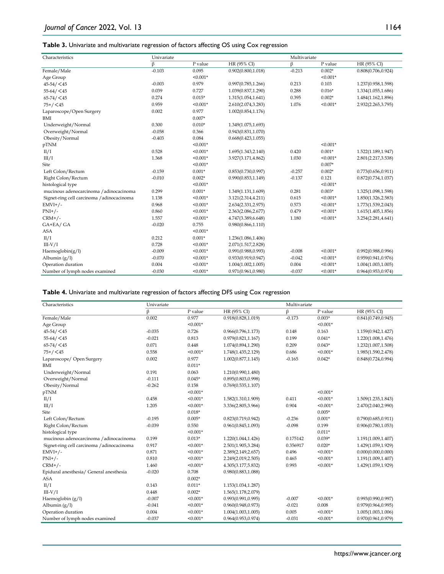#### **Table 3.** Univariate and multivariate regression of factors affecting OS using Cox regression

| Characteristics                            | Univariate |            |                     | Multivariate |            |                     |
|--------------------------------------------|------------|------------|---------------------|--------------|------------|---------------------|
|                                            | β          | P value    | HR (95% CI)         | β            | P value    | HR (95% CI)         |
| Female/Male                                | $-0.103$   | 0.095      | 0.902(0.800, 1.018) | $-0.213$     | $0.002*$   | 0.808(0.706, 0.924) |
| Age Group                                  |            | $< 0.001*$ |                     |              | $< 0.001*$ |                     |
| $45 - 54 / 45$                             | $-0.003$   | 0.979      | 0.997(0.785, 1.266) | 0.213        | 0.103      | 1.237(0.958,1.598)  |
| $55 - 64 / < 45$                           | 0.039      | 0.727      | 1.039(0.837,1.290)  | 0.288        | $0.016*$   | 1.334(1.055,1.686)  |
| $65 - 74 / 45$                             | 0.274      | $0.015*$   | 1.315(1.054,1.641)  | 0.395        | $0.002*$   | 1.484(1.162,1.896)  |
| $75+/-45$                                  | 0.959      | $< 0.001*$ | 2.610(2.074,3.283)  | 1.076        | $< 0.001*$ | 2.932(2.265,3.795)  |
| Laparoscope/Open Surgery                   | 0.002      | 0.977      | 1.002(0.854,1.176)  |              |            |                     |
| BMI                                        |            | $0.007*$   |                     |              |            |                     |
| Underweight/Normal                         | 0.300      | $0.010*$   | 1.349(1.075,1.693)  |              |            |                     |
| Overweight/Normal                          | $-0.058$   | 0.366      | 0.943(0.831, 1.070) |              |            |                     |
| Obesity/Normal                             | $-0.403$   | 0.084      | 0.668(0.423, 1.055) |              |            |                     |
| pTNM                                       |            | $< 0.001*$ |                     |              | $< 0.001*$ |                     |
| II/I                                       | 0.528      | $< 0.001*$ | 1.695(1.343,2.140)  | 0.420        | $0.001*$   | 1.522(1.189,1.947)  |
| III/I                                      | 1.368      | $< 0.001*$ | 3.927(3.171,4.862)  | 1.030        | $< 0.001*$ | 2.801(2.217,3.538)  |
| Site                                       |            | $< 0.001*$ |                     |              | $0.007*$   |                     |
| Left Colon/Rectum                          | $-0.159$   | $0.001*$   | 0.853(0.730, 0.997) | $-0.257$     | $0.002*$   | 0.773(0.656, 0.911) |
| Right Colon/Rectum                         | $-0.010$   | $0.002*$   | 0.990(0.853, 1.149) | $-0.137$     | 0.121      | 0.872(0.734, 1.037) |
| histological type                          |            | $< 0.001*$ |                     |              | $< 0.001*$ |                     |
| mucinous adenocarcinoma / adinocacinoma    | 0.299      | $0.001*$   | 1.349(1.131,1.609)  | 0.281        | $0.003*$   | 1.325(1.098,1.598)  |
| Signet-ring cell carcinoma / adinocacinoma | 1.138      | $< 0.001*$ | 3.121(2.314,4.211)  | 0.615        | $< 0.001*$ | 1.850(1.326,2.583)  |
| $EMVI+/-$                                  | 0.968      | $< 0.001*$ | 2.634(2.331,2.975)  | 0.573        | $< 0.001*$ | 1.773(1.539,2.043)  |
| $PNI+/-$                                   | 0.860      | $< 0.001*$ | 2.363(2.086,2.677)  | 0.479        | $< 0.001*$ | 1.615(1.405,1.856)  |
| $CRM+/-$                                   | 1.557      | $< 0.001*$ | 4.747(3.389,6.648)  | 1.180        | $< 0.001*$ | 3.254(2.281,4.641)  |
| GA+EA/GA                                   | $-0.020$   | 0.755      | 0.980(0.866, 1.110) |              |            |                     |
| <b>ASA</b>                                 |            | $< 0.001*$ |                     |              |            |                     |
| II/I                                       | 0.212      | $0.001*$   | 1.236(1.086,1.406)  |              |            |                     |
| $III-V/I$                                  | 0.728      | $< 0.001*$ | 2.071(1.517,2.828)  |              |            |                     |
| Haemoglobin $(g/l)$                        | $-0.009$   | $< 0.001*$ | 0.991(0.988, 0.993) | $-0.008$     | $< 0.001*$ | 0.992(0.988, 0.996) |
| Albumin $(g/l)$                            | $-0.070$   | $< 0.001*$ | 0.933(0.919,0.947)  | $-0.042$     | $< 0.001*$ | 0.959(0.941, 0.976) |
| Operation duration                         | 0.004      | $< 0.001*$ | 1.004(1.002, 1.005) | 0.004        | $< 0.001*$ | 1.004(1.003, 1.005) |
| Number of lymph nodes examined             | $-0.030$   | $< 0.001*$ | 0.971(0.961, 0.980) | $-0.037$     | $< 0.001*$ | 0.964(0.953, 0.974) |

#### **Table 4.** Univariate and multivariate regression of factors affecting DFS using Cox regression

| Characteristics                            | Univariate |            |                     |          | Multivariate |                     |  |  |
|--------------------------------------------|------------|------------|---------------------|----------|--------------|---------------------|--|--|
|                                            | $\beta$    | P value    | HR (95% CI)         | $\beta$  | P value      | HR (95% CI)         |  |  |
| Female/Male                                | 0.002      | 0.977      | 0.918(0.828, 1.019) | $-0.173$ | $0.003*$     | 0.841(0.749, 0.945) |  |  |
| Age Group                                  |            | $< 0.001*$ |                     |          | $< 0.001*$   |                     |  |  |
| $45 - 54 / 45$                             | $-0.035$   | 0.726      | 0.966(0.796, 1.173) | 0.148    | 0.163        | 1.159(0.942,1.427)  |  |  |
| $55 - 64 / < 45$                           | $-0.021$   | 0.813      | 0.979(0.821, 1.167) | 0.199    | $0.041*$     | 1.220(1.008,1.476)  |  |  |
| $65 - 74 / 45$                             | 0.071      | 0.448      | 1.074(0.894,1.290)  | 0.209    | $0.043*$     | 1.232(1.007,1.508)  |  |  |
| $75+/-45$                                  | 0.558      | $< 0.001*$ | 1.748(1.435,2.129)  | 0.686    | $< 0.001*$   | 1.985(1.590,2.478)  |  |  |
| Laparoscope/ Open Surgery                  | 0.002      | 0.977      | 1.002(0.877, 1.145) | $-0.165$ | $0.042*$     | 0.848(0.724, 0.994) |  |  |
| BMI                                        |            | $0.011*$   |                     |          |              |                     |  |  |
| Underweight/Normal                         | 0.191      | 0.063      | 1.210(0.990,1.480)  |          |              |                     |  |  |
| Overweight/Normal                          | $-0.111$   | $0.045*$   | 0.895(0.803, 0.998) |          |              |                     |  |  |
| Obesity/Normal                             | $-0.262$   | 0.158      | 0.769(0.535, 1.107) |          |              |                     |  |  |
| pTNM                                       |            | $< 0.001*$ |                     |          | $< 0.001*$   |                     |  |  |
| II/I                                       | 0.458      | $< 0.001*$ | 1.582(1.310,1.909)  | 0.411    | $< 0.001*$   | 1.509(1.235,1.843)  |  |  |
| III/I                                      | 1.205      | $< 0.001*$ | 3.336(2.805,3.966)  | 0.904    | $< 0.001*$   | 2.470(2.040,2.990)  |  |  |
| Site                                       |            | $0.018*$   |                     |          | $0.005*$     |                     |  |  |
| Left Colon/Rectum                          | $-0.195$   | $0.005*$   | 0.823(0.719, 0.942) | $-0.236$ | $0.001*$     | 0.790(0.685, 0.911) |  |  |
| Right Colon/Rectum                         | $-0.039$   | 0.550      | 0.961(0.845, 1.093) | $-0.098$ | 0.199        | 0.906(0.780, 1.053) |  |  |
| histological type                          |            | $< 0.001*$ |                     |          | $0.011*$     |                     |  |  |
| mucinous adenocarcinoma / adinocacinoma    | 0.199      | $0.013*$   | 1.220(1.044,1.426)  | 0.175142 | $0.039*$     | 1.191(1.009,1.407)  |  |  |
| Signet-ring cell carcinoma / adinocacinoma | 0.917      | $< 0.001*$ | 2.501(1.905,3.284)  | 0.356917 | $0.020*$     | 1.429(1.059,1.929)  |  |  |
| $EMVI+/-$                                  | 0.871      | $< 0.001*$ | 2.389(2.149,2.657)  | 0.496    | $< 0.001*$   | 0.000(0.000, 0.000) |  |  |
| $PNI+/-$                                   | 0.810      | $< 0.001*$ | 2.249(2.019,2.505)  | 0.465    | $< 0.001*$   | 1.191(1.009,1.407)  |  |  |
| $CRM+/-$                                   | 1.460      | $< 0.001*$ | 4.305(3.177,5.832)  | 0.993    | $< 0.001*$   | 1.429(1.059,1.929)  |  |  |
| Epidural anesthesia/ General anesthesia    | $-0.020$   | 0.708      | 0.980(0.883, 1.088) |          |              |                     |  |  |
| <b>ASA</b>                                 |            | $0.002*$   |                     |          |              |                     |  |  |
| II/I                                       | 0.143      | $0.011*$   | 1.153(1.034,1.287)  |          |              |                     |  |  |
| $III-V/I$                                  | 0.448      | $0.002*$   | 1.565(1.178,2.079)  |          |              |                     |  |  |
| Haemoglobin (g/l)                          | $-0.007$   | $< 0.001*$ | 0.993(0.991, 0.995) | $-0.007$ | $< 0.001*$   | 0.993(0.990, 0.997) |  |  |
| Albumin $(g/l)$                            | $-0.041$   | $< 0.001*$ | 0.960(0.948, 0.973) | $-0.021$ | 0.008        | 0.979(0.964, 0.995) |  |  |
| Operation duration                         | 0.004      | $< 0.001*$ | 1.004(1.003, 1.005) | 0.005    | $< 0.001*$   | 1.005(1.003,1.006)  |  |  |
| Number of lymph nodes examined             | $-0.037$   | $< 0.001*$ | 0.964(0.953, 0.974) | $-0.031$ | $< 0.001*$   | 0.970(0.961, 0.979) |  |  |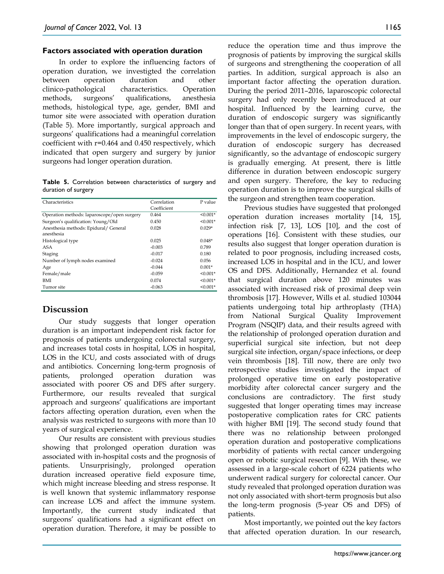#### **Factors associated with operation duration**

In order to explore the influencing factors of operation duration, we investigted the correlation between operation duration and other clinico-pathological characteristics. Operation methods, surgeons' qualifications, anesthesia methods, histological type, age, gender, BMI and tumor site were associated with operation duration (Table 5). More importantly, surgical approach and surgeons' qualifications had a meaningful correlation coefficient with r=0.464 and 0.450 respectively, which indicated that open surgery and surgery by junior surgeons had longer operation duration.

**Table 5.** Correlation between characteristics of surgery and duration of surgery

| Characteristics                                     | Correlation<br>Coefficient | P value    |
|-----------------------------------------------------|----------------------------|------------|
| Operation methods: laparoscope/open surgery         | 0.464                      | $< 0.001*$ |
| Surgeon's qualification: Young/Old                  | 0.450                      | $< 0.001*$ |
| Anesthesia methods: Epidural/ General<br>anesthesia | 0.028                      | $0.029*$   |
| Histological type                                   | 0.025                      | $0.048*$   |
| ASA                                                 | $-0.003$                   | 0.789      |
| Staging                                             | $-0.017$                   | 0.180      |
| Number of lymph nodes examined                      | $-0.024$                   | 0.056      |
| Age                                                 | $-0.044$                   | $0.001*$   |
| Female/male                                         | $-0.059$                   | $< 0.001*$ |
| BMI                                                 | 0.074                      | $< 0.001*$ |
| Tumor site                                          | $-0.063$                   | $< 0.001*$ |

# **Discussion**

Our study suggests that longer operation duration is an important independent risk factor for prognosis of patients undergoing colorectal surgery, and increases total costs in hospital, LOS in hospital, LOS in the ICU, and costs associated with of drugs and antibiotics. Concerning long-term prognosis of patients, prolonged operation duration was associated with poorer OS and DFS after surgery. Furthermore, our results revealed that surgical approach and surgeons' qualifications are important factors affecting operation duration, even when the analysis was restricted to surgeons with more than 10 years of surgical experience.

Our results are consistent with previous studies showing that prolonged operation duration was associated with in-hospital costs and the prognosis of patients. Unsurprisingly, prolonged operation duration increased operative field exposure time, which might increase bleeding and stress response. It is well known that systemic inflammatory response can increase LOS and affect the immune system. Importantly, the current study indicated that surgeons' qualifications had a significant effect on operation duration. Therefore, it may be possible to

reduce the operation time and thus improve the prognosis of patients by improving the surgical skills of surgeons and strengthening the cooperation of all parties. In addition, surgical approach is also an important factor affecting the operation duration. During the period 2011–2016, laparoscopic colorectal surgery had only recently been introduced at our hospital. Influenced by the learning curve, the duration of endoscopic surgery was significantly longer than that of open surgery. In recent years, with improvements in the level of endoscopic surgery, the duration of endoscopic surgery has decreased significantly, so the advantage of endoscopic surgery is gradually emerging. At present, there is little difference in duration between endoscopic surgery and open surgery. Therefore, the key to reducing operation duration is to improve the surgical skills of the surgeon and strengthen team cooperation.

Previous studies have suggested that prolonged operation duration increases mortality [14, 15], infection risk [7, 13], LOS [10], and the cost of operations [16]. Consistent with these studies, our results also suggest that longer operation duration is related to poor prognosis, including increased costs, increased LOS in hospital and in the ICU, and lower OS and DFS. Additionally, Hernandez et al. found that surgical duration above 120 minutes was associated with increased risk of proximal deep vein thrombosis [17]. However, Wills et al. studied 103044 patients undergoing total hip arthroplasty (THA) from National Surgical Quality Improvement Program (NSQIP) data, and their results agreed with the relationship of prolonged operation duration and superficial surgical site infection, but not deep surgical site infection, organ/space infections, or deep vein thrombosis [18]. Till now, there are only two retrospective studies investigated the impact of prolonged operative time on early postoperative morbidity after colorectal cancer surgery and the conclusions are contradictory. The first study suggested that longer operating times may increase postoperative complication rates for CRC patients with higher BMI [19]. The second study found that there was no relationship between prolonged operation duration and postoperative complications morbidity of patients with rectal cancer undergoing open or robotic surgical resection [9]. With these, we assessed in a large-scale cohort of 6224 patients who underwent radical surgery for colorectal cancer. Our study revealed that prolonged operation duration was not only associated with short-term prognosis but also the long-term prognosis (5-year OS and DFS) of patients.

Most importantly, we pointed out the key factors that affected operation duration. In our research,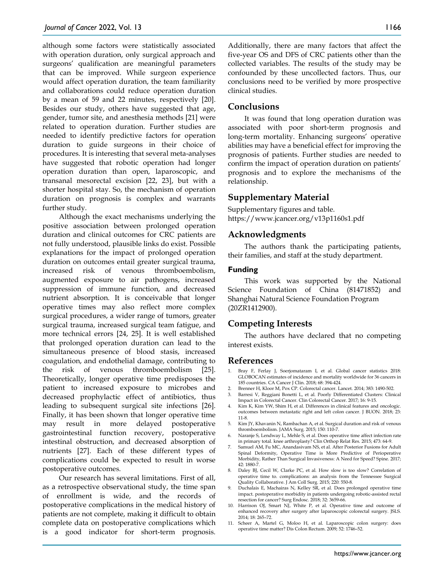although some factors were statistically associated with operation duration, only surgical approach and surgeons' qualification are meaningful parameters that can be improved. While surgeon experience would affect operation duration, the team familiarity and collaborations could reduce operation duration by a mean of 59 and 22 minutes, respectively [20]. Besides our study, others have suggested that age, gender, tumor site, and anesthesia methods [21] were related to operation duration. Further studies are needed to identify predictive factors for operation duration to guide surgeons in their choice of procedures. It is interesting that several meta-analyses have suggested that robotic operation had longer operation duration than open, laparoscopic, and transanal mesorectal excision [22, 23], but with a shorter hospital stay. So, the mechanism of operation duration on prognosis is complex and warrants further study.

Although the exact mechanisms underlying the positive association between prolonged operation duration and clinical outcomes for CRC patients are not fully understood, plausible links do exist. Possible explanations for the impact of prolonged operation duration on outcomes entail greater surgical trauma, increased risk of venous thromboembolism, augmented exposure to air pathogens, increased suppression of immune function, and decreased nutrient absorption. It is conceivable that longer operative times may also reflect more complex surgical procedures, a wider range of tumors, greater surgical trauma, increased surgical team fatigue, and more technical errors [24, 25]. It is well established that prolonged operation duration can lead to the simultaneous presence of blood stasis, increased coagulation, and endothelial damage, contributing to the risk of venous thromboembolism [25]. Theoretically, longer operative time predisposes the patient to increased exposure to microbes and decreased prophylactic effect of antibiotics, thus leading to subsequent surgical site infections [26]. Finally, it has been shown that longer operative time may result in more delayed postoperative gastrointestinal function recovery, postoperative intestinal obstruction, and decreased absorption of nutrients [27]. Each of these different types of complications could be expected to result in worse postoperative outcomes.

Our research has several limitations. First of all, as a retrospective observational study, the time span of enrollment is wide, and the records of postoperative complications in the medical history of patients are not complete, making it difficult to obtain complete data on postoperative complications which is a good indicator for short-term prognosis.

Additionally, there are many factors that affect the five-year OS and DFS of CRC patients other than the collected variables. The results of the study may be confounded by these uncollected factors. Thus, our conclusions need to be verified by more prospective clinical studies.

## **Conclusions**

It was found that long operation duration was associated with poor short-term prognosis and long-term mortality. Enhancing surgeons' operative abilities may have a beneficial effect for improving the prognosis of patients. Further studies are needed to confirm the impact of operation duration on patients' prognosis and to explore the mechanisms of the relationship.

## **Supplementary Material**

Supplementary figures and table. https://www.jcancer.org/v13p1160s1.pdf

## **Acknowledgments**

The authors thank the participating patients, their families, and staff at the study department.

#### **Funding**

This work was supported by the National Science Foundation of China (81471852) and Shanghai Natural Science Foundation Program (20ZR1412900).

## **Competing Interests**

The authors have declared that no competing interest exists.

#### **References**

- Bray F, Ferlay J, Soerjomataram I, et al. Global cancer statistics 2018: GLOBOCAN estimates of incidence and mortality worldwide for 36 cancers in 185 countries. CA Cancer J Clin. 2018; 68: 394-424.
- 2. Brenner H, Kloor M, Pox CP. Colorectal cancer. Lancet. 2014; 383: 1490-502.
- 3. Barresi V, Reggiani Bonetti L, et al. Poorly Differentiated Clusters: Clinical Impact in Colorectal Cancer. Clin Colorectal Cancer. 2017; 16: 9-15.
- 4. Kim K, Kim YW, Shim H, et al. Differences in clinical features and oncologic. outcomes between metastatic right and left colon cancer. J BUON. 2018; 23: 11-8.
- 5. Kim JY, Khavanin N, Rambachan A, et al. Surgical duration and risk of venous thromboembolism. JAMA Surg. 2015; 150: 110-7.
- 6. Naranje S, Lendway L, Mehle S, et al. Does operative time affect infection rate in primary total. knee arthroplasty? Clin Orthop Relat Res. 2015; 473: 64-9.
- 7. Samuel AM, Fu MC, Anandasivam NS, et al. After Posterior Fusions for Adult Spinal Deformity, Operative Time is More Predictive of Perioperative Morbidity, Rather Than Surgical Invasiveness: A Need for Speed? Spine. 2017; 42: 1880-7.
- 8. Daley BJ, Cecil W, Clarke PC, et al. How slow is too slow? Correlation of operative time to. complications: an analysis from the Tennessee Surgical Quality Collaborative. J Am Coll Surg. 2015; 220: 550-8.
- 9. Duchalais E, Machairas N, Kelley SR, et al. Does prolonged operative time impact. postoperative morbidity in patients undergoing robotic-assisted rectal resection for cancer? Surg Endosc. 2018; 32: 3659-66.
- 10. Harrison OJ, Smart NJ, White P, et al. Operative time and outcome of enhanced recovery after surgery after laparoscopic colorectal surgery. JSLS. 2014; 18: 265–72.
- 11. Scheer A, Martel G, Moloo H, et al. Laparoscopic colon surgery: does operative time matter? Dis Colon Rectum. 2009; 52: 1746–52.